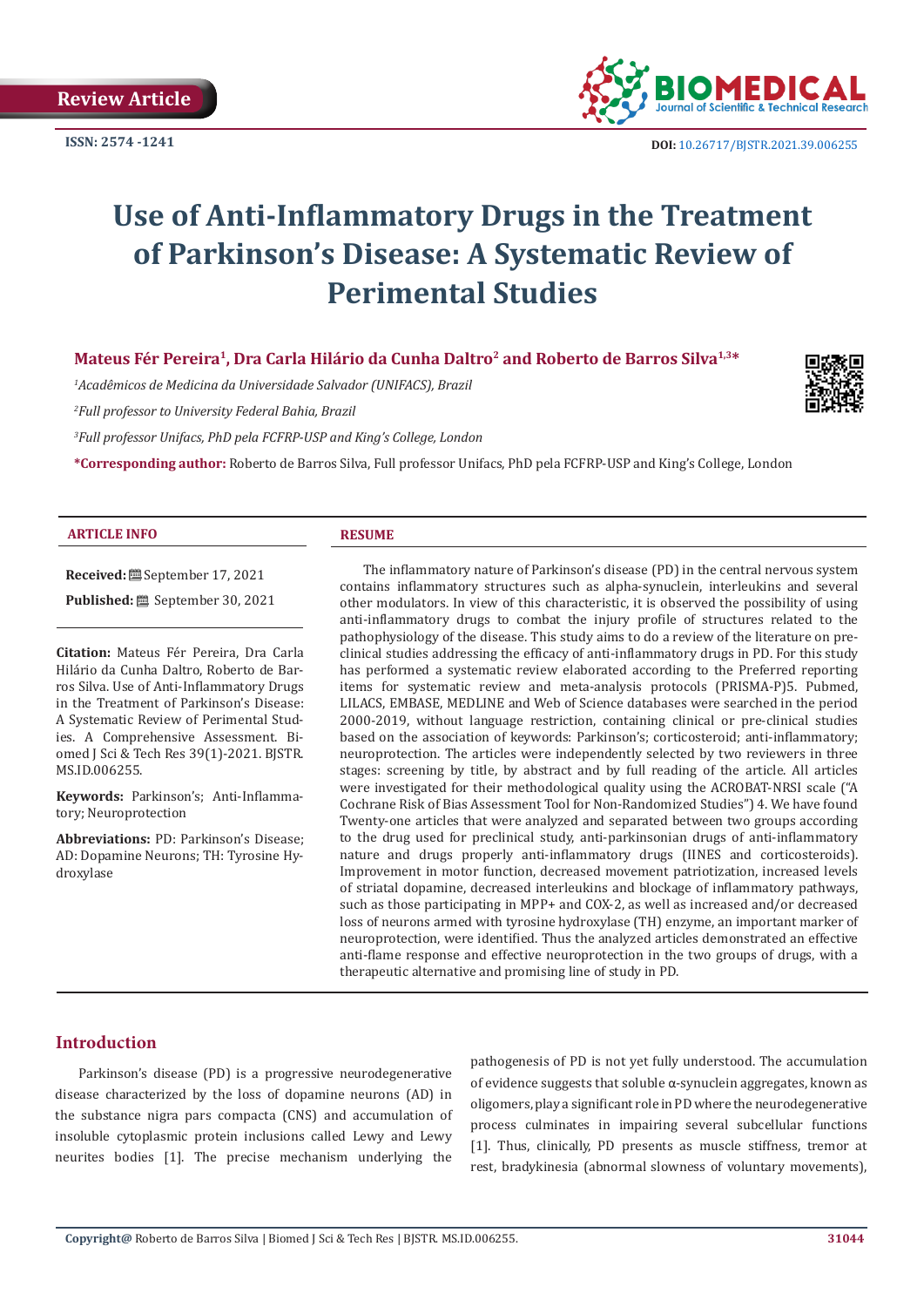**Review Article**

**ISSN: 2574 -1241**



 **DOI:** [10.26717/BJSTR.2021.39.006255](https://dx.doi.org/10.26717/BJSTR.2021.39.006255)

# **Use of Anti-Inflammatory Drugs in the Treatment of Parkinson's Disease: A Systematic Review of Perimental Studies**

# **Mateus Fér Pereira<sup>1</sup>, Dra Carla Hilário da Cunha Daltro<sup>2</sup> and Roberto de Barros Silva1,3\***

*1 Acadêmicos de Medicina da Universidade Salvador (UNIFACS), Brazil*

*2 Full professor to University Federal Bahia, Brazil*

*3 Full professor Unifacs, PhD pela FCFRP-USP and King's College, London*

**\*Corresponding author:** Roberto de Barros Silva, Full professor Unifacs, PhD pela FCFRP-USP and King's College, London

### **ARTICLE INFO RESUME**

**Received:** September 17, 2021 **Published:** September 30, 2021

**Citation:** Mateus Fér Pereira, Dra Carla Hilário da Cunha Daltro, Roberto de Barros Silva. Use of Anti-Inflammatory Drugs in the Treatment of Parkinson's Disease: A Systematic Review of Perimental Studies. A Comprehensive Assessment. Biomed J Sci & Tech Res 39(1)-2021. BJSTR. MS.ID.006255.

**Keywords:** Parkinson's; Anti-Inflammatory; Neuroprotection

**Abbreviations:** PD: Parkinson's Disease; AD: Dopamine Neurons; TH: Tyrosine Hydroxylase

The inflammatory nature of Parkinson's disease (PD) in the central nervous system contains inflammatory structures such as alpha-synuclein, interleukins and several other modulators. In view of this characteristic, it is observed the possibility of using anti-inflammatory drugs to combat the injury profile of structures related to the pathophysiology of the disease. This study aims to do a review of the literature on preclinical studies addressing the efficacy of anti-inflammatory drugs in PD. For this study has performed a systematic review elaborated according to the Preferred reporting items for systematic review and meta-analysis protocols (PRISMA-P)5. Pubmed, LILACS, EMBASE, MEDLINE and Web of Science databases were searched in the period 2000-2019, without language restriction, containing clinical or pre-clinical studies based on the association of keywords: Parkinson's; corticosteroid; anti-inflammatory; neuroprotection. The articles were independently selected by two reviewers in three stages: screening by title, by abstract and by full reading of the article. All articles were investigated for their methodological quality using the ACROBAT-NRSI scale ("A Cochrane Risk of Bias Assessment Tool for Non-Randomized Studies") 4. We have found Twenty-one articles that were analyzed and separated between two groups according to the drug used for preclinical study, anti-parkinsonian drugs of anti-inflammatory nature and drugs properly anti-inflammatory drugs (IINES and corticosteroids). Improvement in motor function, decreased movement patriotization, increased levels of striatal dopamine, decreased interleukins and blockage of inflammatory pathways, such as those participating in MPP+ and COX-2, as well as increased and/or decreased loss of neurons armed with tyrosine hydroxylase (TH) enzyme, an important marker of neuroprotection, were identified. Thus the analyzed articles demonstrated an effective anti-flame response and effective neuroprotection in the two groups of drugs, with a therapeutic alternative and promising line of study in PD.

# **Introduction**

Parkinson's disease (PD) is a progressive neurodegenerative disease characterized by the loss of dopamine neurons (AD) in the substance nigra pars compacta (CNS) and accumulation of insoluble cytoplasmic protein inclusions called Lewy and Lewy neurites bodies [1]. The precise mechanism underlying the

pathogenesis of PD is not yet fully understood. The accumulation of evidence suggests that soluble α-synuclein aggregates, known as oligomers, play a significant role in PD where the neurodegenerative process culminates in impairing several subcellular functions [1]. Thus, clinically, PD presents as muscle stiffness, tremor at rest, bradykinesia (abnormal slowness of voluntary movements),

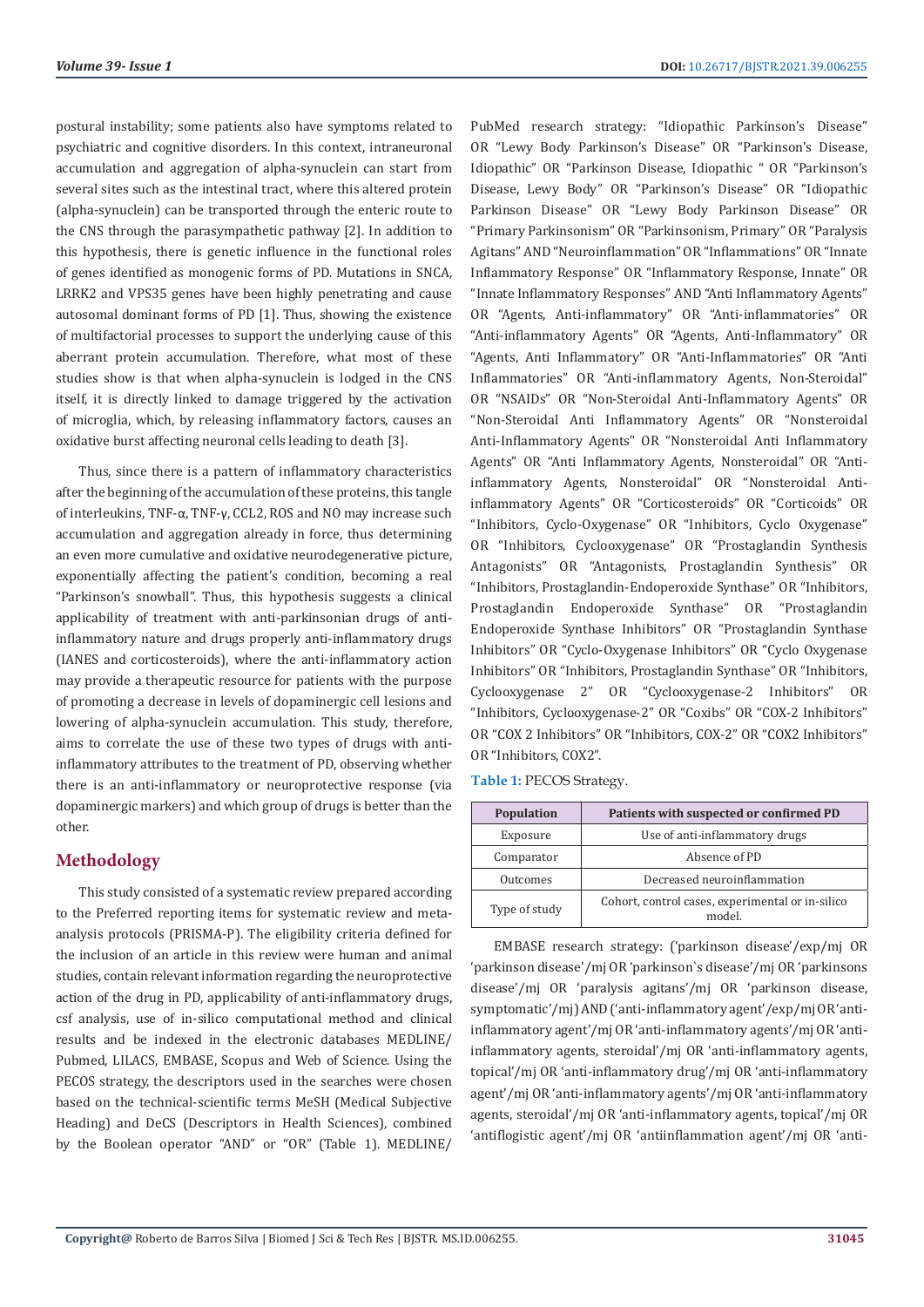postural instability; some patients also have symptoms related to psychiatric and cognitive disorders. In this context, intraneuronal accumulation and aggregation of alpha-synuclein can start from several sites such as the intestinal tract, where this altered protein (alpha-synuclein) can be transported through the enteric route to the CNS through the parasympathetic pathway [2]. In addition to this hypothesis, there is genetic influence in the functional roles of genes identified as monogenic forms of PD. Mutations in SNCA, LRRK2 and VPS35 genes have been highly penetrating and cause autosomal dominant forms of PD [1]. Thus, showing the existence of multifactorial processes to support the underlying cause of this aberrant protein accumulation. Therefore, what most of these studies show is that when alpha-synuclein is lodged in the CNS itself, it is directly linked to damage triggered by the activation of microglia, which, by releasing inflammatory factors, causes an oxidative burst affecting neuronal cells leading to death [3].

Thus, since there is a pattern of inflammatory characteristics after the beginning of the accumulation of these proteins, this tangle of interleukins, TNF-α, TNF-γ, CCL2, ROS and NO may increase such accumulation and aggregation already in force, thus determining an even more cumulative and oxidative neurodegenerative picture, exponentially affecting the patient's condition, becoming a real "Parkinson's snowball". Thus, this hypothesis suggests a clinical applicability of treatment with anti-parkinsonian drugs of antiinflammatory nature and drugs properly anti-inflammatory drugs (IANES and corticosteroids), where the anti-inflammatory action may provide a therapeutic resource for patients with the purpose of promoting a decrease in levels of dopaminergic cell lesions and lowering of alpha-synuclein accumulation. This study, therefore, aims to correlate the use of these two types of drugs with antiinflammatory attributes to the treatment of PD, observing whether there is an anti-inflammatory or neuroprotective response (via dopaminergic markers) and which group of drugs is better than the other.

# **Methodology**

This study consisted of a systematic review prepared according to the Preferred reporting items for systematic review and metaanalysis protocols (PRISMA-P). The eligibility criteria defined for the inclusion of an article in this review were human and animal studies, contain relevant information regarding the neuroprotective action of the drug in PD, applicability of anti-inflammatory drugs, csf analysis, use of in-silico computational method and clinical results and be indexed in the electronic databases MEDLINE/ Pubmed, LILACS, EMBASE, Scopus and Web of Science. Using the PECOS strategy, the descriptors used in the searches were chosen based on the technical-scientific terms MeSH (Medical Subjective Heading) and DeCS (Descriptors in Health Sciences), combined by the Boolean operator "AND" or "OR" (Table 1). MEDLINE/

PubMed research strategy: "Idiopathic Parkinson's Disease" OR "Lewy Body Parkinson's Disease" OR "Parkinson's Disease, Idiopathic" OR "Parkinson Disease, Idiopathic " OR "Parkinson's Disease, Lewy Body" OR "Parkinson's Disease" OR "Idiopathic Parkinson Disease" OR "Lewy Body Parkinson Disease" OR "Primary Parkinsonism" OR "Parkinsonism, Primary" OR "Paralysis Agitans" AND "Neuroinflammation" OR "Inflammations" OR "Innate Inflammatory Response" OR "Inflammatory Response, Innate" OR "Innate Inflammatory Responses" AND "Anti Inflammatory Agents" OR "Agents, Anti-inflammatory" OR "Anti-inflammatories" OR "Anti-inflammatory Agents" OR "Agents, Anti-Inflammatory" OR "Agents, Anti Inflammatory" OR "Anti-Inflammatories" OR "Anti Inflammatories" OR "Anti-inflammatory Agents, Non-Steroidal" OR "NSAIDs" OR "Non-Steroidal Anti-Inflammatory Agents" OR "Non-Steroidal Anti Inflammatory Agents" OR "Nonsteroidal Anti-Inflammatory Agents" OR "Nonsteroidal Anti Inflammatory Agents" OR "Anti Inflammatory Agents, Nonsteroidal" OR "Antiinflammatory Agents, Nonsteroidal" OR "Nonsteroidal Antiinflammatory Agents" OR "Corticosteroids" OR "Corticoids" OR "Inhibitors, Cyclo-Oxygenase" OR "Inhibitors, Cyclo Oxygenase" OR "Inhibitors, Cyclooxygenase" OR "Prostaglandin Synthesis Antagonists" OR "Antagonists, Prostaglandin Synthesis" OR "Inhibitors, Prostaglandin-Endoperoxide Synthase" OR "Inhibitors, Prostaglandin Endoperoxide Synthase" OR "Prostaglandin Endoperoxide Synthase Inhibitors" OR "Prostaglandin Synthase Inhibitors" OR "Cyclo-Oxygenase Inhibitors" OR "Cyclo Oxygenase Inhibitors" OR "Inhibitors, Prostaglandin Synthase" OR "Inhibitors, Cyclooxygenase 2" OR "Cyclooxygenase-2 Inhibitors" OR "Inhibitors, Cyclooxygenase-2" OR "Coxibs" OR "COX-2 Inhibitors" OR "COX 2 Inhibitors" OR "Inhibitors, COX-2" OR "COX2 Inhibitors" OR "Inhibitors, COX2".

**Table 1:** PECOS Strategy.

| <b>Population</b> | Patients with suspected or confirmed PD                    |  |  |
|-------------------|------------------------------------------------------------|--|--|
| Exposure          | Use of anti-inflammatory drugs                             |  |  |
| Comparator        | Absence of PD                                              |  |  |
| Outcomes          | Decreased neuroinflammation                                |  |  |
| Type of study     | Cohort, control cases, experimental or in-silico<br>model. |  |  |

EMBASE research strategy: ('parkinson disease'/exp/mj OR 'parkinson disease'/mj OR 'parkinson`s disease'/mj OR 'parkinsons disease'/mj OR 'paralysis agitans'/mj OR 'parkinson disease, symptomatic'/mj) AND ('anti-inflammatory agent'/exp/mj OR 'antiinflammatory agent'/mj OR 'anti-inflammatory agents'/mj OR 'antiinflammatory agents, steroidal'/mj OR 'anti-inflammatory agents, topical'/mj OR 'anti-inflammatory drug'/mj OR 'anti-inflammatory agent'/mj OR 'anti-inflammatory agents'/mj OR 'anti-inflammatory agents, steroidal'/mj OR 'anti-inflammatory agents, topical'/mj OR 'antiflogistic agent'/mj OR 'antiinflammation agent'/mj OR 'anti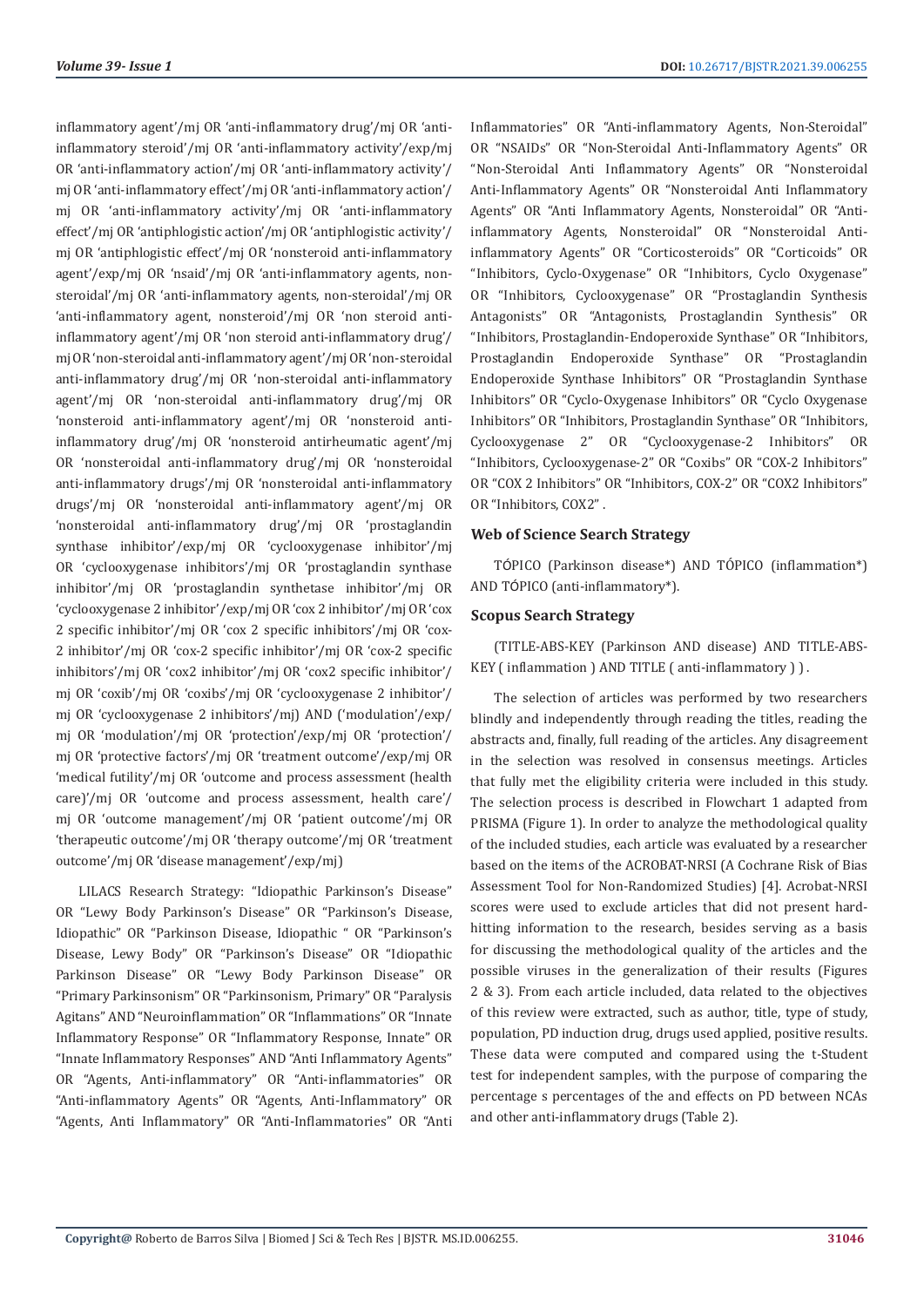inflammatory agent'/mj OR 'anti-inflammatory drug'/mj OR 'antiinflammatory steroid'/mj OR 'anti-inflammatory activity'/exp/mj OR 'anti-inflammatory action'/mj OR 'anti-inflammatory activity'/ mj OR 'anti-inflammatory effect'/mj OR 'anti-inflammatory action'/ mj OR 'anti-inflammatory activity'/mj OR 'anti-inflammatory effect'/mj OR 'antiphlogistic action'/mj OR 'antiphlogistic activity'/ mj OR 'antiphlogistic effect'/mj OR 'nonsteroid anti-inflammatory agent'/exp/mj OR 'nsaid'/mj OR 'anti-inflammatory agents, nonsteroidal'/mj OR 'anti-inflammatory agents, non-steroidal'/mj OR 'anti-inflammatory agent, nonsteroid'/mj OR 'non steroid antiinflammatory agent'/mj OR 'non steroid anti-inflammatory drug'/ mj OR 'non-steroidal anti-inflammatory agent'/mj OR 'non-steroidal anti-inflammatory drug'/mj OR 'non-steroidal anti-inflammatory agent'/mj OR 'non-steroidal anti-inflammatory drug'/mj OR 'nonsteroid anti-inflammatory agent'/mj OR 'nonsteroid antiinflammatory drug'/mj OR 'nonsteroid antirheumatic agent'/mj OR 'nonsteroidal anti-inflammatory drug'/mj OR 'nonsteroidal anti-inflammatory drugs'/mj OR 'nonsteroidal anti-inflammatory drugs'/mj OR 'nonsteroidal anti-inflammatory agent'/mj OR 'nonsteroidal anti-inflammatory drug'/mj OR 'prostaglandin synthase inhibitor'/exp/mj OR 'cyclooxygenase inhibitor'/mj OR 'cyclooxygenase inhibitors'/mj OR 'prostaglandin synthase inhibitor'/mj OR 'prostaglandin synthetase inhibitor'/mj OR 'cyclooxygenase 2 inhibitor'/exp/mj OR 'cox 2 inhibitor'/mj OR 'cox 2 specific inhibitor'/mj OR 'cox 2 specific inhibitors'/mj OR 'cox-2 inhibitor'/mj OR 'cox-2 specific inhibitor'/mj OR 'cox-2 specific inhibitors'/mj OR 'cox2 inhibitor'/mj OR 'cox2 specific inhibitor'/ mj OR 'coxib'/mj OR 'coxibs'/mj OR 'cyclooxygenase 2 inhibitor'/ mj OR 'cyclooxygenase 2 inhibitors'/mj) AND ('modulation'/exp/ mj OR 'modulation'/mj OR 'protection'/exp/mj OR 'protection'/ mj OR 'protective factors'/mj OR 'treatment outcome'/exp/mj OR 'medical futility'/mj OR 'outcome and process assessment (health care)'/mj OR 'outcome and process assessment, health care'/ mj OR 'outcome management'/mj OR 'patient outcome'/mj OR 'therapeutic outcome'/mj OR 'therapy outcome'/mj OR 'treatment outcome'/mj OR 'disease management'/exp/mj)

LILACS Research Strategy: "Idiopathic Parkinson's Disease" OR "Lewy Body Parkinson's Disease" OR "Parkinson's Disease, Idiopathic" OR "Parkinson Disease, Idiopathic " OR "Parkinson's Disease, Lewy Body" OR "Parkinson's Disease" OR "Idiopathic Parkinson Disease" OR "Lewy Body Parkinson Disease" OR "Primary Parkinsonism" OR "Parkinsonism, Primary" OR "Paralysis Agitans" AND "Neuroinflammation" OR "Inflammations" OR "Innate Inflammatory Response" OR "Inflammatory Response, Innate" OR "Innate Inflammatory Responses" AND "Anti Inflammatory Agents" OR "Agents, Anti-inflammatory" OR "Anti-inflammatories" OR "Anti-inflammatory Agents" OR "Agents, Anti-Inflammatory" OR "Agents, Anti Inflammatory" OR "Anti-Inflammatories" OR "Anti

Inflammatories" OR "Anti-inflammatory Agents, Non-Steroidal" OR "NSAIDs" OR "Non-Steroidal Anti-Inflammatory Agents" OR "Non-Steroidal Anti Inflammatory Agents" OR "Nonsteroidal Anti-Inflammatory Agents" OR "Nonsteroidal Anti Inflammatory Agents" OR "Anti Inflammatory Agents, Nonsteroidal" OR "Antiinflammatory Agents, Nonsteroidal" OR "Nonsteroidal Antiinflammatory Agents" OR "Corticosteroids" OR "Corticoids" OR "Inhibitors, Cyclo-Oxygenase" OR "Inhibitors, Cyclo Oxygenase" OR "Inhibitors, Cyclooxygenase" OR "Prostaglandin Synthesis Antagonists" OR "Antagonists, Prostaglandin Synthesis" OR "Inhibitors, Prostaglandin-Endoperoxide Synthase" OR "Inhibitors, Prostaglandin Endoperoxide Synthase" OR "Prostaglandin Endoperoxide Synthase Inhibitors" OR "Prostaglandin Synthase Inhibitors" OR "Cyclo-Oxygenase Inhibitors" OR "Cyclo Oxygenase Inhibitors" OR "Inhibitors, Prostaglandin Synthase" OR "Inhibitors, Cyclooxygenase 2" OR "Cyclooxygenase-2 Inhibitors" OR "Inhibitors, Cyclooxygenase-2" OR "Coxibs" OR "COX-2 Inhibitors" OR "COX 2 Inhibitors" OR "Inhibitors, COX-2" OR "COX2 Inhibitors" OR "Inhibitors, COX2" .

#### **Web of Science Search Strategy**

TÓPICO (Parkinson disease\*) AND TÓPICO (inflammation\*) AND TÓPICO (anti-inflammatory\*).

#### **Scopus Search Strategy**

(TITLE-ABS-KEY (Parkinson AND disease) AND TITLE-ABS-KEY ( inflammation ) AND TITLE ( anti-inflammatory ) ) .

The selection of articles was performed by two researchers blindly and independently through reading the titles, reading the abstracts and, finally, full reading of the articles. Any disagreement in the selection was resolved in consensus meetings. Articles that fully met the eligibility criteria were included in this study. The selection process is described in Flowchart 1 adapted from PRISMA (Figure 1). In order to analyze the methodological quality of the included studies, each article was evaluated by a researcher based on the items of the ACROBAT-NRSI (A Cochrane Risk of Bias Assessment Tool for Non-Randomized Studies) [4]. Acrobat-NRSI scores were used to exclude articles that did not present hardhitting information to the research, besides serving as a basis for discussing the methodological quality of the articles and the possible viruses in the generalization of their results (Figures 2 & 3). From each article included, data related to the objectives of this review were extracted, such as author, title, type of study, population, PD induction drug, drugs used applied, positive results. These data were computed and compared using the t-Student test for independent samples, with the purpose of comparing the percentage s percentages of the and effects on PD between NCAs and other anti-inflammatory drugs (Table 2).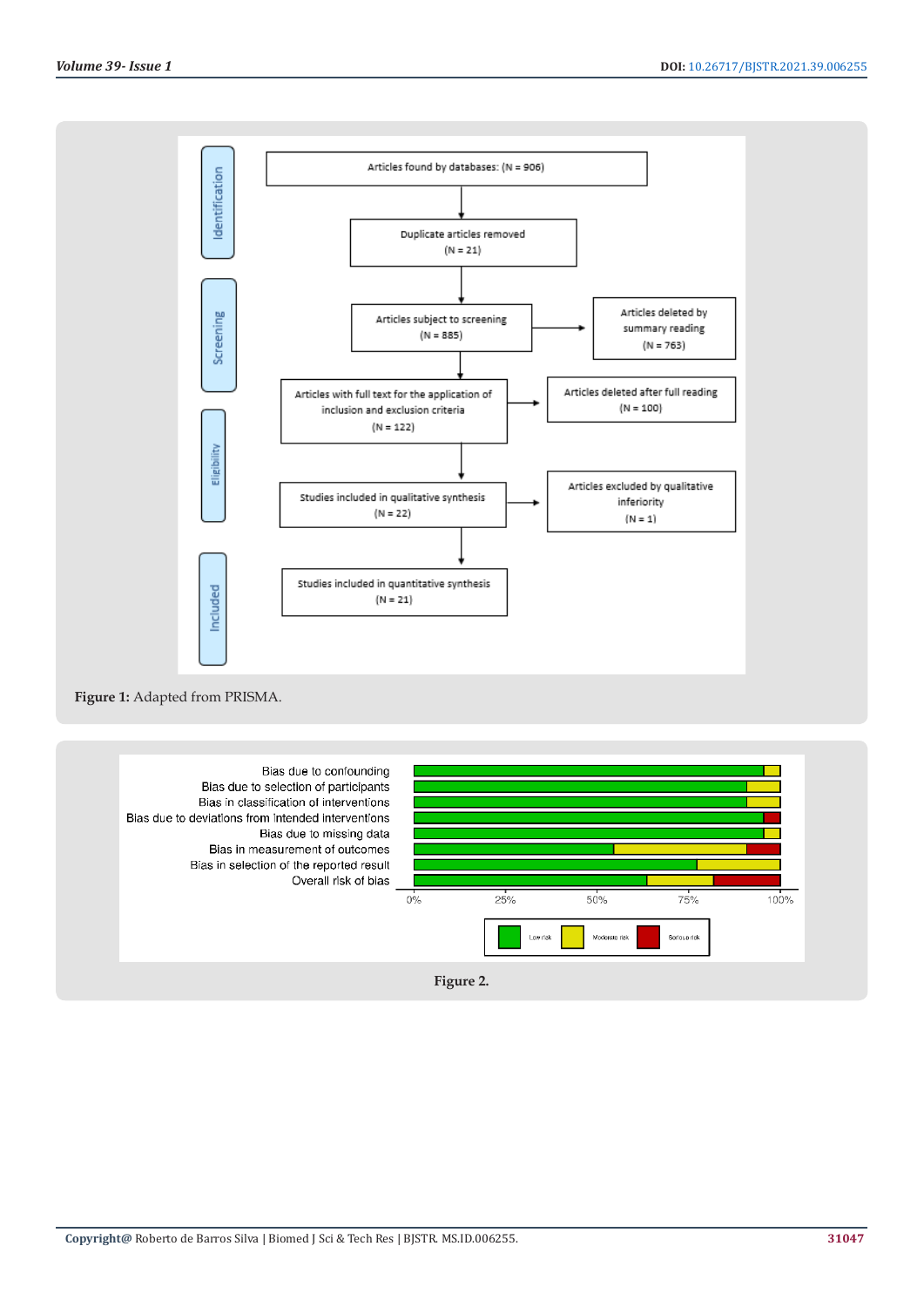

### **Figure 1:** Adapted from PRISMA.

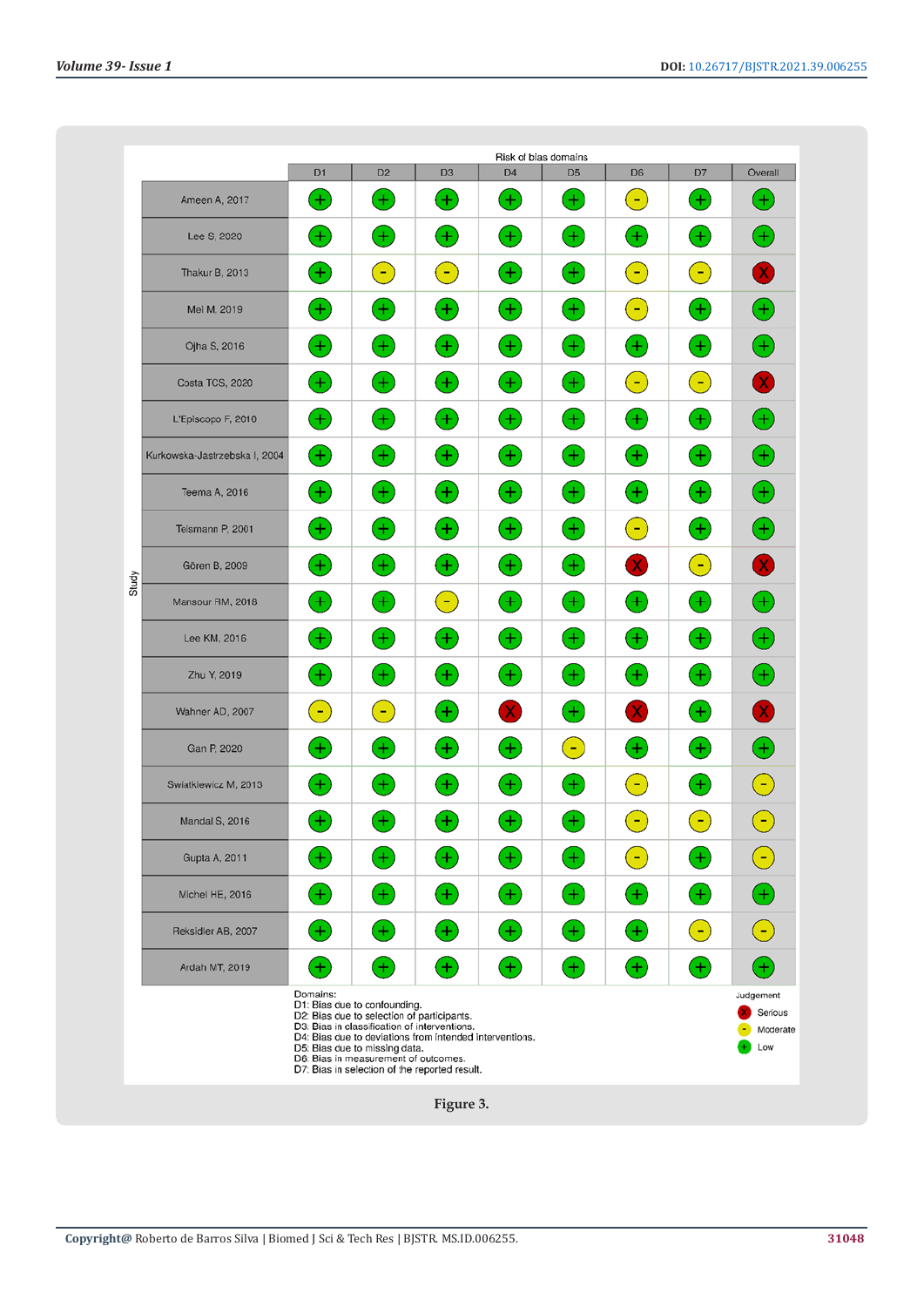|                                                                                                                                                                                                                                                                            | Risk of blas domains          |                   |                   |                   |                   |                                         |                   |                 |                            |
|----------------------------------------------------------------------------------------------------------------------------------------------------------------------------------------------------------------------------------------------------------------------------|-------------------------------|-------------------|-------------------|-------------------|-------------------|-----------------------------------------|-------------------|-----------------|----------------------------|
|                                                                                                                                                                                                                                                                            |                               | D <sub>1</sub>    | D <sub>2</sub>    | D <sub>3</sub>    | D <sub>4</sub>    | D <sub>5</sub>                          | D <sub>6</sub>    | D7              | Overall                    |
|                                                                                                                                                                                                                                                                            | Ameen A, 2017                 | $+$               | $\ddot{}$         | $\left( +\right)$ | $\pm$             | $\pm$                                   | е.                | ÷               | ♦                          |
|                                                                                                                                                                                                                                                                            | Lee S, 2020                   | $\left( +\right)$ | $+$               | $^{(+)}$          | $^{(+)}$          | $\left( +\right)$                       | $\left( +\right)$ | $+$             | $^{(+)}$                   |
|                                                                                                                                                                                                                                                                            | <b>Thakur B, 2013</b>         | Ŧ                 | ÷                 | 8                 | $^{(+)}$          | $^{+}$                                  | $\left( -\right)$ | $\blacklozenge$ | $\mathbf{X}$               |
|                                                                                                                                                                                                                                                                            | Mei M, 2019                   | $^{(+)}$          | $^{+}$            | $\left( +\right)$ | $^{(+)}$          | $^{(+)}$                                | Θ.                | $\pm$           | $^{(\bm{+})}$              |
|                                                                                                                                                                                                                                                                            | Ojha S, 2016                  | $^{(+)}$          | Ŧ                 | $^{(+)}$          | $\left( +\right)$ | $^{(+)}$                                | $^{(+)}$          | $\pm$           | $\ddot{\bullet}$           |
|                                                                                                                                                                                                                                                                            | Costa TCS, 2020               | $^{(+)}$          | $^{+}$            | $\pm$             | $^{(+)}$          | $\left( +\right)$                       | (H)               | ÷               | $\mathbf{X}$               |
|                                                                                                                                                                                                                                                                            | L'Episcopo F, 2010            | $^{(+)}$          | Ŧ                 | $\pm$             | $^{(+)}$          | $^{+}$                                  | $^{(+)}$          | $\pm$           | $^{(\pm)}$                 |
|                                                                                                                                                                                                                                                                            | Kurkowska-Jastrzebska I, 2004 | $^{(+)}$          | $\left( +\right)$ | $\pm$             | $^{(+)}$          | $^{(+)}$                                | $^{+}$            | $\pm$           | $^{(\bm{+})}$              |
| Study                                                                                                                                                                                                                                                                      | Teema A, 2016                 | $+$               | $+$               | $\pm$             | $\pm$             | $\left( +\right)$                       | ÷                 | ÷               | $^{(\bm{+})}$              |
|                                                                                                                                                                                                                                                                            | Teismann P, 2001              | $^+$              | $+$               | ÷.                | $^{+}$            | ÷                                       | $\equiv$          | $\pm$           | $\biguplus$                |
|                                                                                                                                                                                                                                                                            | Gören B, 2009                 | $^{+}$            | $+$               | Ð                 | $^{(+)}$          | Ð                                       | x                 | ÷               | $\left( \mathbf{X}\right)$ |
|                                                                                                                                                                                                                                                                            | Mansour RM, 2018              | $^{+}$            | $+$               | 8                 | $^{(+)}$          | Ŧ                                       | $^{(+)}$          | $\pm$           | $\left( +\right)$          |
|                                                                                                                                                                                                                                                                            | Lee KM, 2016                  | $^{+}$            | $+$               | $\left( +\right)$ | $^{(+)}$          | ۰                                       | $^{(+)}$          | ÷               | $^{(\bm{+})}$              |
|                                                                                                                                                                                                                                                                            | Zhu Y, 2019                   | $\pm$             | $^{+}$            | $^{(+)}$          | $^{(+)}$          | $^{+}$                                  | $^{(+)}$          | $+$             | $^{(+)}$                   |
|                                                                                                                                                                                                                                                                            | Wahner AD, 2007               | 9                 | $\left( -\right)$ | $^{(+)}$          | X)                | $^{+}$                                  | X)                | $+$             | $\left( \mathbf{X}\right)$ |
|                                                                                                                                                                                                                                                                            | Gan P, 2020                   | $^+$              | $+$               | $^{(+)}$          | $\left( +\right)$ | Е.                                      | Ð                 | ÷               | $\bigoplus$                |
|                                                                                                                                                                                                                                                                            | Swiatkiewicz M, 2013          | $^{+}$            | $\pm$             | 土                 | $^{+}$            | $\pm$                                   | $\overline{a}$    | $\pm$           | ÷                          |
|                                                                                                                                                                                                                                                                            | Mandal S, 2016                | $^+$              | ÷                 | ÷                 | $^{+}$            | Ŧ                                       | $\blacksquare$    | ÷               | ÷                          |
|                                                                                                                                                                                                                                                                            | Gupta A, 2011                 | $^+$              | $^{+}$            | $\pm$             | $+$               | $^+$                                    | ÷                 | $\pm$           | F                          |
|                                                                                                                                                                                                                                                                            | Michel HE, 2016               | $^{+}$            | $^{(+)}$          | ÷                 | $\pm$             | $^{(+)}$                                | $^{+}$            | Ŧ,              | $\clubsuit$                |
|                                                                                                                                                                                                                                                                            | Reksidler AB, 2007            | $+$               | $\left( +\right)$ | $\pm$             | $\pm$             | $^{(+)}$                                | $+$               | ٠               | $\left( -\right)$          |
|                                                                                                                                                                                                                                                                            | Ardah MT, 2019                | $+$               | $^{+}$            | $\left( +\right)$ | $^{(+)}$          | $^{(+)}$                                | $^{(+)}$          | ÷               | $^{(+)}$                   |
| Domains:<br>D1: Bias due to confounding.<br>D2: Bias due to selection of participants.<br>D3: Bias in classification of interventions.<br>D4: Bias due to deviations from intended interventions.<br>D5: Bias due to missing data.<br>D6: Bias in measurement of outcomes. |                               |                   |                   |                   |                   | Judgement<br>Serious<br>Moderate<br>Low |                   |                 |                            |
| D7: Bias in selection of the reported result.<br>Figure 3                                                                                                                                                                                                                  |                               |                   |                   |                   |                   |                                         |                   |                 |                            |

**Figure 3.**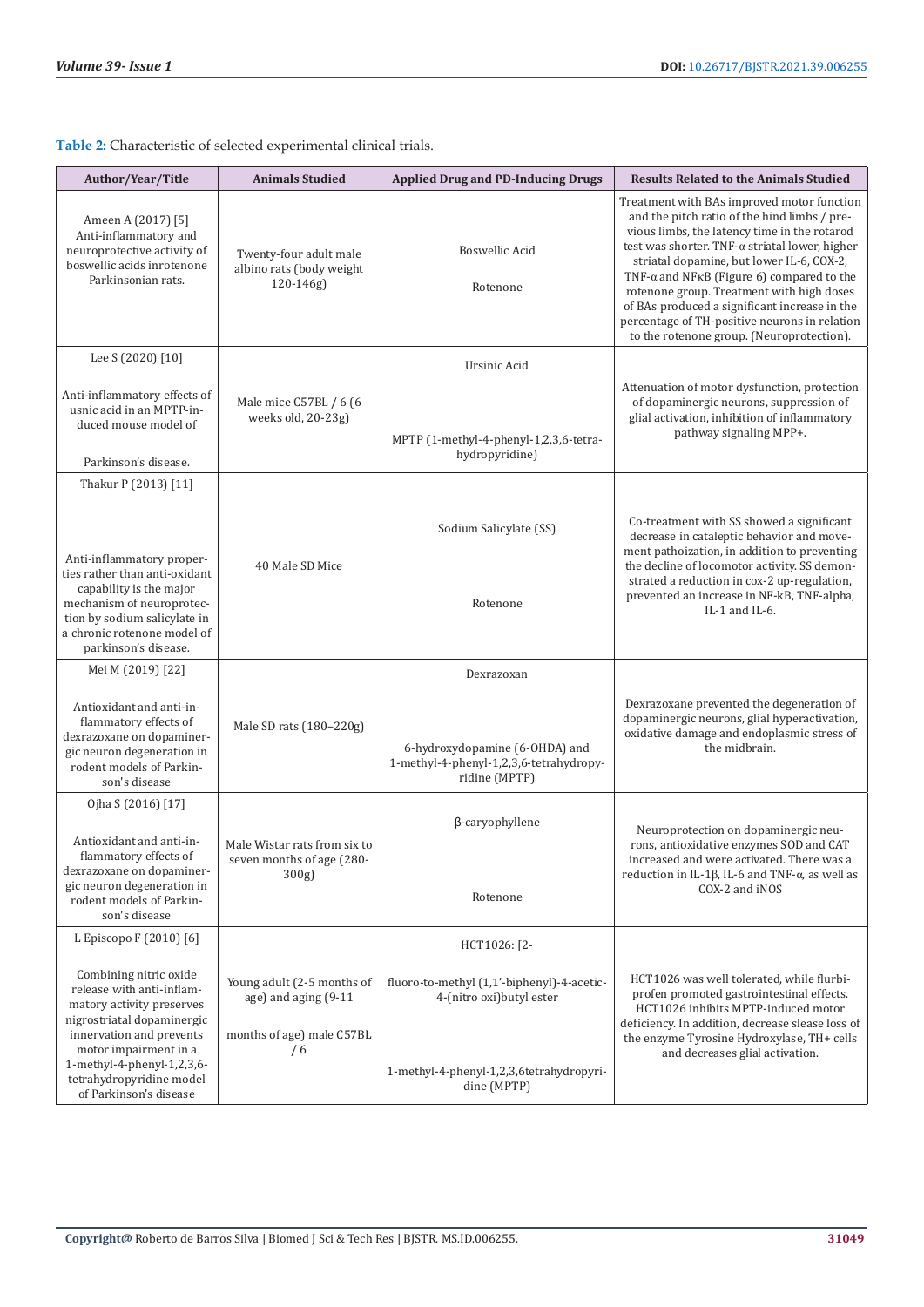**Table 2:** Characteristic of selected experimental clinical trials.

| Author/Year/Title                                                                                                                                                                                 | <b>Animals Studied</b>                                                                 | <b>Applied Drug and PD-Inducing Drugs</b>                                                  | <b>Results Related to the Animals Studied</b>                                                                                                                                                                                                                                                                                                                                                                                                                                              |
|---------------------------------------------------------------------------------------------------------------------------------------------------------------------------------------------------|----------------------------------------------------------------------------------------|--------------------------------------------------------------------------------------------|--------------------------------------------------------------------------------------------------------------------------------------------------------------------------------------------------------------------------------------------------------------------------------------------------------------------------------------------------------------------------------------------------------------------------------------------------------------------------------------------|
| Ameen A (2017) [5]<br>Anti-inflammatory and<br>neuroprotective activity of<br>boswellic acids inrotenone<br>Parkinsonian rats.                                                                    | Twenty-four adult male<br>albino rats (body weight<br>$120 - 146g$                     | <b>Boswellic Acid</b><br>Rotenone                                                          | Treatment with BAs improved motor function<br>and the pitch ratio of the hind limbs / pre-<br>vious limbs, the latency time in the rotarod<br>test was shorter. TNF-a striatal lower, higher<br>striatal dopamine, but lower IL-6, COX-2,<br>TNF- $\alpha$ and NFKB (Figure 6) compared to the<br>rotenone group. Treatment with high doses<br>of BAs produced a significant increase in the<br>percentage of TH-positive neurons in relation<br>to the rotenone group. (Neuroprotection). |
| Lee S (2020) [10]                                                                                                                                                                                 |                                                                                        | Ursinic Acid                                                                               |                                                                                                                                                                                                                                                                                                                                                                                                                                                                                            |
| Anti-inflammatory effects of<br>usnic acid in an MPTP-in-<br>duced mouse model of<br>Parkinson's disease.                                                                                         | Male mice C57BL / 6 (6<br>weeks old, 20-23g)                                           | MPTP (1-methyl-4-phenyl-1,2,3,6-tetra-<br>hydropyridine)                                   | Attenuation of motor dysfunction, protection<br>of dopaminergic neurons, suppression of<br>glial activation, inhibition of inflammatory<br>pathway signaling MPP+.                                                                                                                                                                                                                                                                                                                         |
| Thakur P (2013) [11]                                                                                                                                                                              |                                                                                        |                                                                                            |                                                                                                                                                                                                                                                                                                                                                                                                                                                                                            |
| Anti-inflammatory proper-<br>ties rather than anti-oxidant<br>capability is the major                                                                                                             | 40 Male SD Mice                                                                        | Sodium Salicylate (SS)                                                                     | Co-treatment with SS showed a significant<br>decrease in cataleptic behavior and move-<br>ment pathoization, in addition to preventing<br>the decline of locomotor activity. SS demon-<br>strated a reduction in cox-2 up-regulation,<br>prevented an increase in NF-kB, TNF-alpha,                                                                                                                                                                                                        |
| mechanism of neuroprotec-<br>tion by sodium salicylate in<br>a chronic rotenone model of<br>parkinson's disease.                                                                                  |                                                                                        | Rotenone                                                                                   | IL-1 and IL-6.                                                                                                                                                                                                                                                                                                                                                                                                                                                                             |
| Mei M (2019) [22]                                                                                                                                                                                 |                                                                                        | Dexrazoxan                                                                                 |                                                                                                                                                                                                                                                                                                                                                                                                                                                                                            |
| Antioxidant and anti-in-<br>flammatory effects of<br>dexrazoxane on dopaminer-<br>gic neuron degeneration in<br>rodent models of Parkin-<br>son's disease                                         | Male SD rats (180-220g)                                                                | 6-hydroxydopamine (6-OHDA) and<br>1-methyl-4-phenyl-1,2,3,6-tetrahydropy-<br>ridine (MPTP) | Dexrazoxane prevented the degeneration of<br>dopaminergic neurons, glial hyperactivation,<br>oxidative damage and endoplasmic stress of<br>the midbrain.                                                                                                                                                                                                                                                                                                                                   |
| Ojha S (2016) [17]                                                                                                                                                                                |                                                                                        |                                                                                            |                                                                                                                                                                                                                                                                                                                                                                                                                                                                                            |
| Antioxidant and anti-in-<br>flammatory effects of<br>dexrazoxane on dopaminer-<br>gic neuron degeneration in<br>rodent models of Parkin-<br>son's disease                                         | Male Wistar rats from six to<br>seven months of age (280-<br>300g                      | β-caryophyllene<br>Rotenone                                                                | Neuroprotection on dopaminergic neu-<br>rons, antioxidative enzymes SOD and CAT<br>increased and were activated. There was a<br>reduction in IL-1 $\beta$ , IL-6 and TNF- $\alpha$ , as well as<br>COX-2 and iNOS                                                                                                                                                                                                                                                                          |
| L Episcopo F (2010) [6]                                                                                                                                                                           |                                                                                        | HCT1026: [2-                                                                               |                                                                                                                                                                                                                                                                                                                                                                                                                                                                                            |
| Combining nitric oxide<br>release with anti-inflam-<br>matory activity preserves<br>nigrostriatal dopaminergic<br>innervation and prevents<br>motor impairment in a<br>1-methyl-4-phenyl-1,2,3,6- | Young adult (2-5 months of<br>age) and aging (9-11<br>months of age) male C57BL<br>/ 6 | fluoro-to-methyl (1,1'-biphenyl)-4-acetic-<br>4-(nitro oxi) butyl ester                    | HCT1026 was well tolerated, while flurbi-<br>profen promoted gastrointestinal effects.<br>HCT1026 inhibits MPTP-induced motor<br>deficiency. In addition, decrease slease loss of<br>the enzyme Tyrosine Hydroxylase, TH+ cells<br>and decreases glial activation.                                                                                                                                                                                                                         |
| tetrahydropyridine model<br>of Parkinson's disease                                                                                                                                                |                                                                                        | 1-methyl-4-phenyl-1,2,3,6tetrahydropyri-<br>dine (MPTP)                                    |                                                                                                                                                                                                                                                                                                                                                                                                                                                                                            |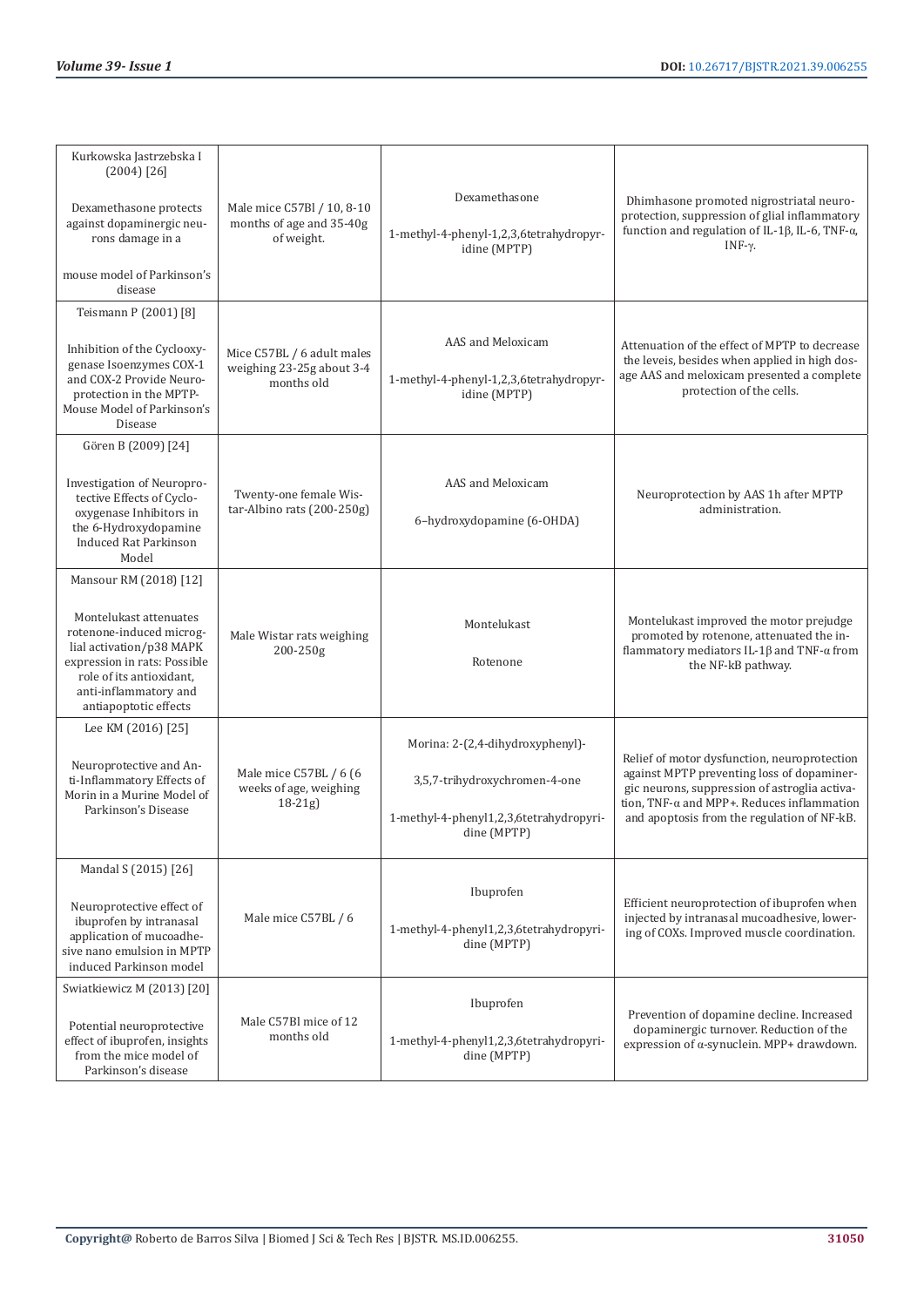| Kurkowska Jastrzebska I<br>$(2004)$ [26]<br>Dexamethasone protects<br>against dopaminergic neu-<br>rons damage in a<br>mouse model of Parkinson's<br>disease                                                           | Male mice C57Bl / 10, 8-10<br>months of age and 35-40g<br>of weight.  | Dexamethasone<br>1-methyl-4-phenyl-1,2,3,6tetrahydropyr-<br>idine (MPTP)                                                    | Dhimhasone promoted nigrostriatal neuro-<br>protection, suppression of glial inflammatory<br>function and regulation of IL-1 $\beta$ , IL-6, TNF- $\alpha$ ,<br>INF- $\gamma$ .                                                                  |  |
|------------------------------------------------------------------------------------------------------------------------------------------------------------------------------------------------------------------------|-----------------------------------------------------------------------|-----------------------------------------------------------------------------------------------------------------------------|--------------------------------------------------------------------------------------------------------------------------------------------------------------------------------------------------------------------------------------------------|--|
| Teismann P (2001) [8]<br>Inhibition of the Cyclooxy-<br>genase Isoenzymes COX-1<br>and COX-2 Provide Neuro-<br>protection in the MPTP-<br>Mouse Model of Parkinson's<br>Disease                                        | Mice C57BL / 6 adult males<br>weighing 23-25g about 3-4<br>months old | AAS and Meloxicam<br>1-methyl-4-phenyl-1,2,3,6tetrahydropyr-<br>idine (MPTP)                                                | Attenuation of the effect of MPTP to decrease<br>the leveis, besides when applied in high dos-<br>age AAS and meloxicam presented a complete<br>protection of the cells.                                                                         |  |
| Gören B (2009) [24]<br>Investigation of Neuropro-<br>tective Effects of Cyclo-<br>oxygenase Inhibitors in<br>the 6-Hydroxydopamine<br><b>Induced Rat Parkinson</b><br>Model                                            | Twenty-one female Wis-<br>tar-Albino rats (200-250g)                  | AAS and Meloxicam<br>6-hydroxydopamine (6-OHDA)                                                                             | Neuroprotection by AAS 1h after MPTP<br>administration.                                                                                                                                                                                          |  |
| Mansour RM (2018) [12]<br>Montelukast attenuates<br>rotenone-induced microg-<br>lial activation/p38 MAPK<br>expression in rats: Possible<br>role of its antioxidant,<br>anti-inflammatory and<br>antiapoptotic effects | Male Wistar rats weighing<br>200-250g                                 | Montelukast<br>Rotenone                                                                                                     | Montelukast improved the motor prejudge<br>promoted by rotenone, attenuated the in-<br>flammatory mediators IL-1 $\beta$ and TNF- $\alpha$ from<br>the NF-kB pathway.                                                                            |  |
| Lee KM (2016) [25]<br>Neuroprotective and An-<br>ti-Inflammatory Effects of<br>Morin in a Murine Model of<br>Parkinson's Disease                                                                                       | Male mice C57BL / 6 (6<br>weeks of age, weighing<br>$18 - 21g$        | Morina: 2-(2,4-dihydroxyphenyl)-<br>3,5,7-trihydroxychromen-4-one<br>1-methyl-4-phenyl1,2,3,6tetrahydropyri-<br>dine (MPTP) | Relief of motor dysfunction, neuroprotection<br>against MPTP preventing loss of dopaminer-<br>gic neurons, suppression of astroglia activa-<br>tion, TNF- $\alpha$ and MPP+. Reduces inflammation<br>and apoptosis from the regulation of NF-kB. |  |
| Mandal S (2015) [26]<br>Neuroprotective effect of<br>ibuprofen by intranasal<br>application of mucoadhe-<br>sive nano emulsion in MPTP<br>induced Parkinson model                                                      | Male mice C57BL / 6                                                   | Ibuprofen<br>1-methyl-4-phenyl1,2,3,6tetrahydropyri-<br>dine (MPTP)                                                         | Efficient neuroprotection of ibuprofen when<br>injected by intranasal mucoadhesive, lower-<br>ing of COXs. Improved muscle coordination.                                                                                                         |  |
| Swiatkiewicz M (2013) [20]<br>Potential neuroprotective<br>effect of ibuprofen, insights<br>from the mice model of<br>Parkinson's disease                                                                              | Male C57Bl mice of 12<br>months old                                   | Ibuprofen<br>1-methyl-4-phenyl1,2,3,6tetrahydropyri-<br>dine (MPTP)                                                         | Prevention of dopamine decline. Increased<br>dopaminergic turnover. Reduction of the<br>expression of a-synuclein. MPP+ drawdown.                                                                                                                |  |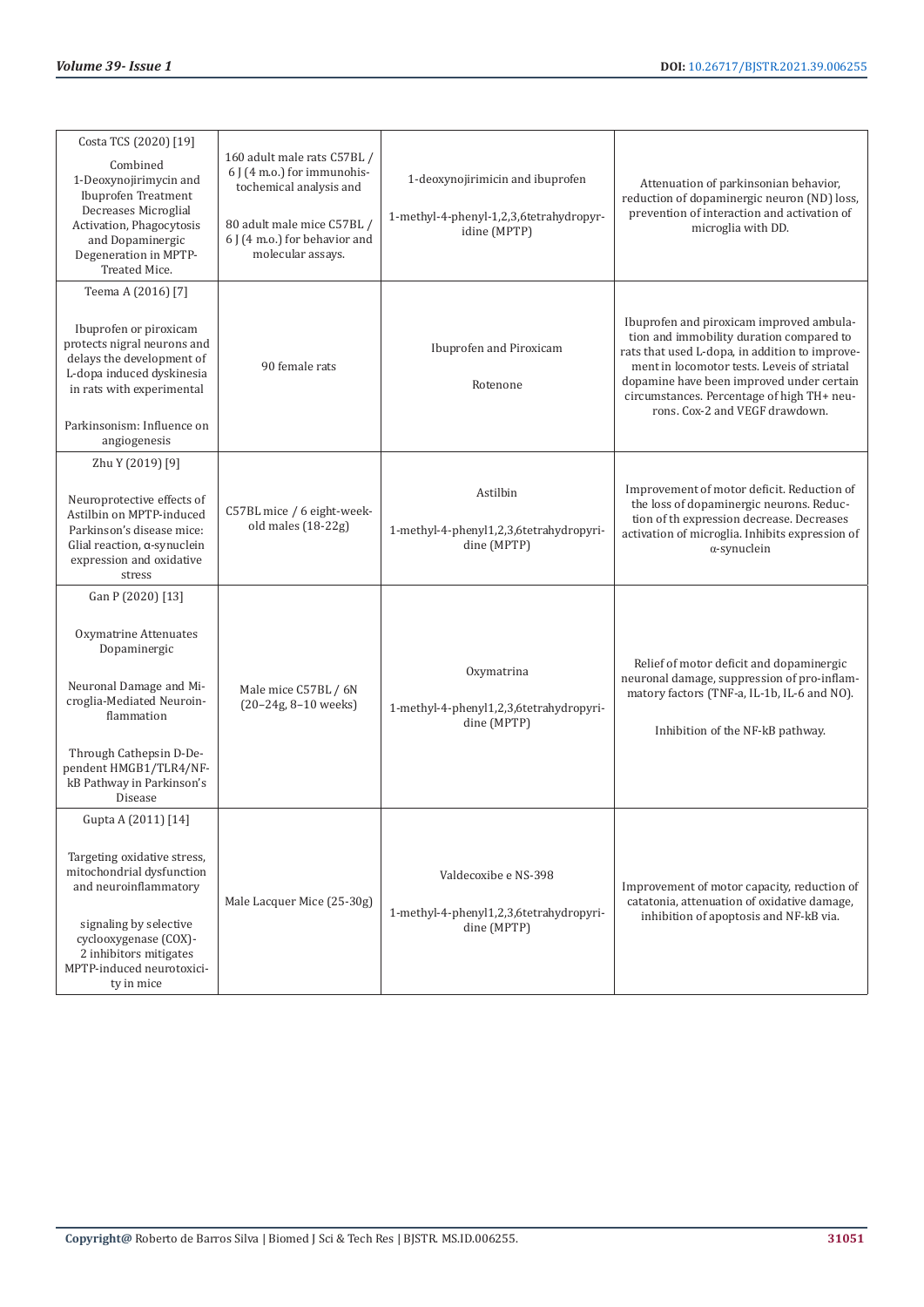| Costa TCS (2020) [19]<br>Combined<br>1-Deoxynojirimycin and<br><b>Ibuprofen Treatment</b><br>Decreases Microglial<br>Activation, Phagocytosis<br>and Dopaminergic<br>Degeneration in MPTP-<br>Treated Mice.                      | 160 adult male rats C57BL /<br>6 J (4 m.o.) for immunohis-<br>tochemical analysis and<br>80 adult male mice C57BL /<br>6 J (4 m.o.) for behavior and<br>molecular assays. | 1-deoxynojirimicin and ibuprofen<br>1-methyl-4-phenyl-1,2,3,6tetrahydropyr-<br>idine (MPTP) | Attenuation of parkinsonian behavior,<br>reduction of dopaminergic neuron (ND) loss,<br>prevention of interaction and activation of<br>microglia with DD.                                                                                                                                                          |
|----------------------------------------------------------------------------------------------------------------------------------------------------------------------------------------------------------------------------------|---------------------------------------------------------------------------------------------------------------------------------------------------------------------------|---------------------------------------------------------------------------------------------|--------------------------------------------------------------------------------------------------------------------------------------------------------------------------------------------------------------------------------------------------------------------------------------------------------------------|
| Teema A (2016) [7]<br>Ibuprofen or piroxicam<br>protects nigral neurons and<br>delays the development of<br>L-dopa induced dyskinesia<br>in rats with experimental<br>Parkinsonism: Influence on<br>angiogenesis                 | 90 female rats                                                                                                                                                            | Ibuprofen and Piroxicam<br>Rotenone                                                         | Ibuprofen and piroxicam improved ambula-<br>tion and immobility duration compared to<br>rats that used L-dopa, in addition to improve-<br>ment in locomotor tests. Leveis of striatal<br>dopamine have been improved under certain<br>circumstances. Percentage of high TH+ neu-<br>rons. Cox-2 and VEGF drawdown. |
| Zhu Y (2019) [9]<br>Neuroprotective effects of<br>Astilbin on MPTP-induced<br>Parkinson's disease mice:<br>Glial reaction, a-synuclein<br>expression and oxidative<br>stress                                                     | C57BL mice / 6 eight-week-<br>old males (18-22g)                                                                                                                          | Astilbin<br>1-methyl-4-phenyl1,2,3,6tetrahydropyri-<br>dine (MPTP)                          | Improvement of motor deficit. Reduction of<br>the loss of dopaminergic neurons. Reduc-<br>tion of th expression decrease. Decreases<br>activation of microglia. Inhibits expression of<br>$\alpha$ -synuclein                                                                                                      |
| Gan P (2020) [13]<br>Oxymatrine Attenuates<br>Dopaminergic<br>Neuronal Damage and Mi-<br>croglia-Mediated Neuroin-<br>flammation<br>Through Cathepsin D-De-<br>pendent HMGB1/TLR4/NF-<br>kB Pathway in Parkinson's<br>Disease    | Male mice C57BL / 6N<br>(20-24g, 8-10 weeks)                                                                                                                              | Oxymatrina<br>1-methyl-4-phenyl1,2,3,6tetrahydropyri-<br>dine (MPTP)                        | Relief of motor deficit and dopaminergic<br>neuronal damage, suppression of pro-inflam-<br>matory factors (TNF-a, IL-1b, IL-6 and NO).<br>Inhibition of the NF-kB pathway.                                                                                                                                         |
| Gupta A (2011) [14]<br>Targeting oxidative stress,<br>mitochondrial dysfunction<br>and neuroinflammatory<br>signaling by selective<br>cyclooxygenase (COX)-<br>2 inhibitors mitigates<br>MPTP-induced neurotoxici-<br>ty in mice | Male Lacquer Mice (25-30g)                                                                                                                                                | Valdecoxibe e NS-398<br>1-methyl-4-phenyl1,2,3,6tetrahydropyri-<br>dine (MPTP)              | Improvement of motor capacity, reduction of<br>catatonia, attenuation of oxidative damage,<br>inhibition of apoptosis and NF-kB via.                                                                                                                                                                               |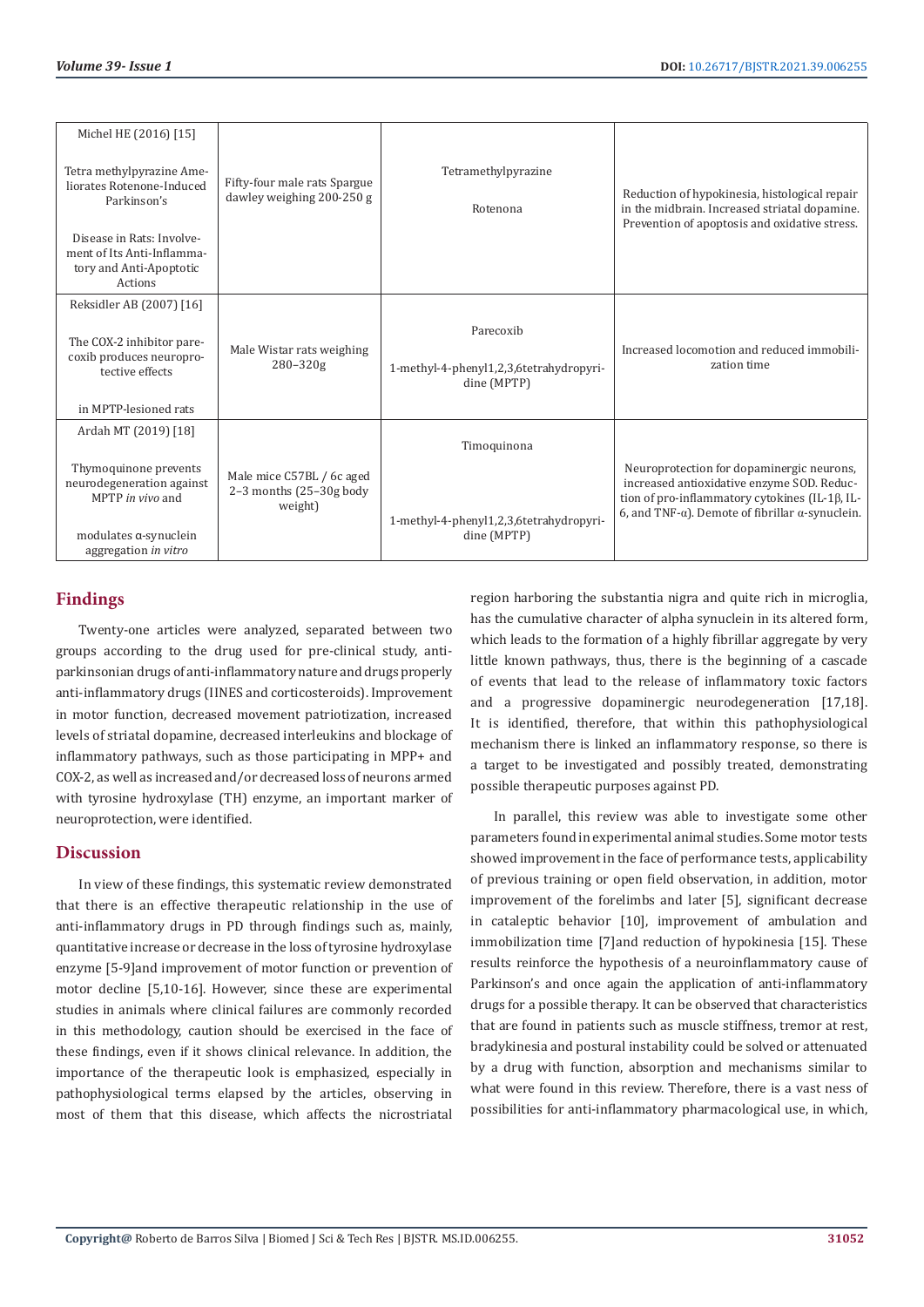| Michel HE (2016) [15]<br>Tetra methylpyrazine Ame-<br>liorates Rotenone-Induced<br>Parkinson's | Fifty-four male rats Spargue<br>dawley weighing 200-250 g       | Tetramethylpyrazine<br>Rotenona                                     | Reduction of hypokinesia, histological repair<br>in the midbrain. Increased striatal dopamine.                                                                                                                |
|------------------------------------------------------------------------------------------------|-----------------------------------------------------------------|---------------------------------------------------------------------|---------------------------------------------------------------------------------------------------------------------------------------------------------------------------------------------------------------|
| Disease in Rats: Involve-<br>ment of Its Anti-Inflamma-<br>tory and Anti-Apoptotic<br>Actions  |                                                                 |                                                                     | Prevention of apoptosis and oxidative stress.                                                                                                                                                                 |
| Reksidler AB (2007) [16]                                                                       |                                                                 |                                                                     |                                                                                                                                                                                                               |
| The COX-2 inhibitor pare-<br>coxib produces neuropro-<br>tective effects                       | Male Wistar rats weighing<br>280-320g                           | Parecoxib<br>1-methyl-4-phenyl1,2,3,6tetrahydropyri-<br>dine (MPTP) | Increased locomotion and reduced immobili-<br>zation time                                                                                                                                                     |
| in MPTP-lesioned rats                                                                          |                                                                 |                                                                     |                                                                                                                                                                                                               |
| Ardah MT (2019) [18]                                                                           |                                                                 | Timoquinona                                                         |                                                                                                                                                                                                               |
| Thymoquinone prevents<br>neurodegeneration against<br>MPTP in vivo and                         | Male mice C57BL / 6c aged<br>2-3 months (25-30g body<br>weight) |                                                                     | Neuroprotection for dopaminergic neurons,<br>increased antioxidative enzyme SOD. Reduc-<br>tion of pro-inflammatory cytokines (IL-1β, IL-<br>6, and TNF- $\alpha$ ). Demote of fibrillar $\alpha$ -synuclein. |
| modulates a-synuclein<br>aggregation in vitro                                                  |                                                                 | 1-methyl-4-phenyl1,2,3,6tetrahydropyri-<br>dine (MPTP)              |                                                                                                                                                                                                               |

# **Findings**

Twenty-one articles were analyzed, separated between two groups according to the drug used for pre-clinical study, antiparkinsonian drugs of anti-inflammatory nature and drugs properly anti-inflammatory drugs (IINES and corticosteroids). Improvement in motor function, decreased movement patriotization, increased levels of striatal dopamine, decreased interleukins and blockage of inflammatory pathways, such as those participating in MPP+ and COX-2, as well as increased and/or decreased loss of neurons armed with tyrosine hydroxylase (TH) enzyme, an important marker of neuroprotection, were identified.

# **Discussion**

In view of these findings, this systematic review demonstrated that there is an effective therapeutic relationship in the use of anti-inflammatory drugs in PD through findings such as, mainly, quantitative increase or decrease in the loss of tyrosine hydroxylase enzyme [5-9]and improvement of motor function or prevention of motor decline [5,10-16]. However, since these are experimental studies in animals where clinical failures are commonly recorded in this methodology, caution should be exercised in the face of these findings, even if it shows clinical relevance. In addition, the importance of the therapeutic look is emphasized, especially in pathophysiological terms elapsed by the articles, observing in most of them that this disease, which affects the nicrostriatal

region harboring the substantia nigra and quite rich in microglia, has the cumulative character of alpha synuclein in its altered form, which leads to the formation of a highly fibrillar aggregate by very little known pathways, thus, there is the beginning of a cascade of events that lead to the release of inflammatory toxic factors and a progressive dopaminergic neurodegeneration [17,18]. It is identified, therefore, that within this pathophysiological mechanism there is linked an inflammatory response, so there is a target to be investigated and possibly treated, demonstrating possible therapeutic purposes against PD.

In parallel, this review was able to investigate some other parameters found in experimental animal studies. Some motor tests showed improvement in the face of performance tests, applicability of previous training or open field observation, in addition, motor improvement of the forelimbs and later [5], significant decrease in cataleptic behavior [10], improvement of ambulation and immobilization time [7]and reduction of hypokinesia [15]. These results reinforce the hypothesis of a neuroinflammatory cause of Parkinson's and once again the application of anti-inflammatory drugs for a possible therapy. It can be observed that characteristics that are found in patients such as muscle stiffness, tremor at rest, bradykinesia and postural instability could be solved or attenuated by a drug with function, absorption and mechanisms similar to what were found in this review. Therefore, there is a vast ness of possibilities for anti-inflammatory pharmacological use, in which,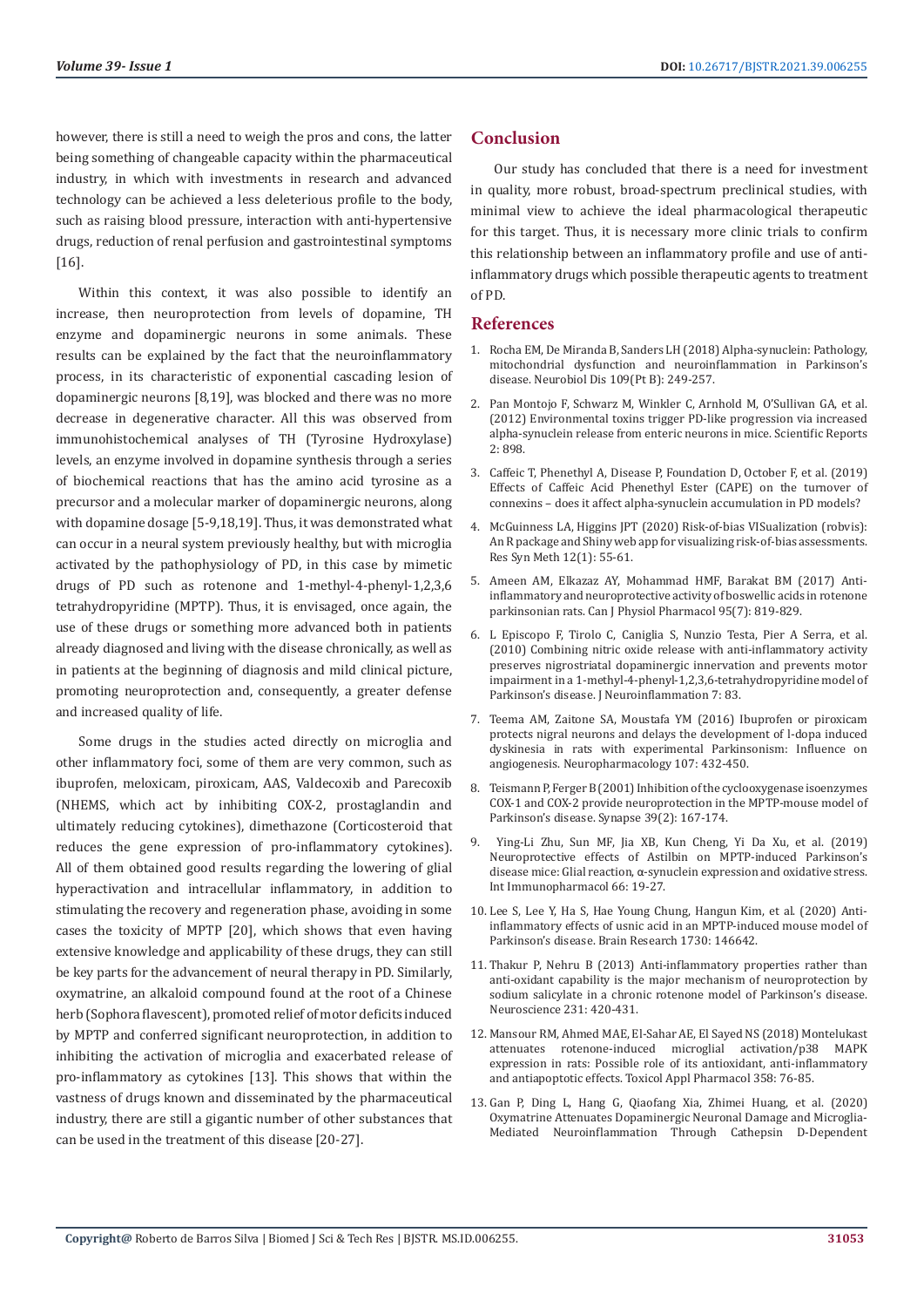however, there is still a need to weigh the pros and cons, the latter being something of changeable capacity within the pharmaceutical industry, in which with investments in research and advanced technology can be achieved a less deleterious profile to the body, such as raising blood pressure, interaction with anti-hypertensive drugs, reduction of renal perfusion and gastrointestinal symptoms [16].

Within this context, it was also possible to identify an increase, then neuroprotection from levels of dopamine, TH enzyme and dopaminergic neurons in some animals. These results can be explained by the fact that the neuroinflammatory process, in its characteristic of exponential cascading lesion of dopaminergic neurons [8,19], was blocked and there was no more decrease in degenerative character. All this was observed from immunohistochemical analyses of TH (Tyrosine Hydroxylase) levels, an enzyme involved in dopamine synthesis through a series of biochemical reactions that has the amino acid tyrosine as a precursor and a molecular marker of dopaminergic neurons, along with dopamine dosage [5-9,18,19]. Thus, it was demonstrated what can occur in a neural system previously healthy, but with microglia activated by the pathophysiology of PD, in this case by mimetic drugs of PD such as rotenone and 1-methyl-4-phenyl-1,2,3,6 tetrahydropyridine (MPTP). Thus, it is envisaged, once again, the use of these drugs or something more advanced both in patients already diagnosed and living with the disease chronically, as well as in patients at the beginning of diagnosis and mild clinical picture, promoting neuroprotection and, consequently, a greater defense and increased quality of life.

Some drugs in the studies acted directly on microglia and other inflammatory foci, some of them are very common, such as ibuprofen, meloxicam, piroxicam, AAS, Valdecoxib and Parecoxib (NHEMS, which act by inhibiting COX-2, prostaglandin and ultimately reducing cytokines), dimethazone (Corticosteroid that reduces the gene expression of pro-inflammatory cytokines). All of them obtained good results regarding the lowering of glial hyperactivation and intracellular inflammatory, in addition to stimulating the recovery and regeneration phase, avoiding in some cases the toxicity of MPTP [20], which shows that even having extensive knowledge and applicability of these drugs, they can still be key parts for the advancement of neural therapy in PD. Similarly, oxymatrine, an alkaloid compound found at the root of a Chinese herb (Sophora flavescent), promoted relief of motor deficits induced by MPTP and conferred significant neuroprotection, in addition to inhibiting the activation of microglia and exacerbated release of pro-inflammatory as cytokines [13]. This shows that within the vastness of drugs known and disseminated by the pharmaceutical industry, there are still a gigantic number of other substances that can be used in the treatment of this disease [20-27].

# **Conclusion**

Our study has concluded that there is a need for investment in quality, more robust, broad-spectrum preclinical studies, with minimal view to achieve the ideal pharmacological therapeutic for this target. Thus, it is necessary more clinic trials to confirm this relationship between an inflammatory profile and use of antiinflammatory drugs which possible therapeutic agents to treatment of PD.

### **References**

- 1. [Rocha EM, De Miranda B, Sanders LH \(2018\) Alpha-synuclein: Pathology,](https://pubmed.ncbi.nlm.nih.gov/28400134/) [mitochondrial dysfunction and neuroinflammation in Parkinson's](https://pubmed.ncbi.nlm.nih.gov/28400134/) [disease. Neurobiol Dis 109\(Pt B\): 249-257.](https://pubmed.ncbi.nlm.nih.gov/28400134/)
- 2. [Pan Montojo F, Schwarz M, Winkler C, Arnhold M, O'Sullivan GA, et al.](https://pubmed.ncbi.nlm.nih.gov/23205266/) [\(2012\) Environmental toxins trigger PD-like progression via increased](https://pubmed.ncbi.nlm.nih.gov/23205266/) [alpha-synuclein release from enteric neurons in mice. Scientific Reports](https://pubmed.ncbi.nlm.nih.gov/23205266/) [2: 898.](https://pubmed.ncbi.nlm.nih.gov/23205266/)
- 3. Caffeic T, Phenethyl A, Disease P, Foundation D, October F, et al. (2019) Effects of Caffeic Acid Phenethyl Ester (CAPE) on the turnover of connexins – does it affect alpha-synuclein accumulation in PD models?
- 4. [McGuinness LA, Higgins JPT \(2020\) Risk-of-bias VISualization \(robvis\):](https://onlinelibrary.wiley.com/doi/10.1002/jrsm.1411) [An R package and Shiny web app for visualizing risk-of-bias assessments.](https://onlinelibrary.wiley.com/doi/10.1002/jrsm.1411) [Res Syn Meth 12\(1\): 55-61.](https://onlinelibrary.wiley.com/doi/10.1002/jrsm.1411)
- 5. [Ameen AM, Elkazaz AY, Mohammad HMF, Barakat BM \(2017\) Anti](https://pubmed.ncbi.nlm.nih.gov/28249117/)[inflammatory and neuroprotective activity of boswellic acids in rotenone](https://pubmed.ncbi.nlm.nih.gov/28249117/) [parkinsonian rats. Can J Physiol Pharmacol 95\(7\): 819-829.](https://pubmed.ncbi.nlm.nih.gov/28249117/)
- 6. [L Episcopo F, Tirolo C, Caniglia S, Nunzio Testa, Pier A Serra, et al.](https://www.ncbi.nlm.nih.gov/pmc/articles/PMC3000390/) [\(2010\) Combining nitric oxide release with anti-inflammatory activity](https://www.ncbi.nlm.nih.gov/pmc/articles/PMC3000390/) [preserves nigrostriatal dopaminergic innervation and prevents motor](https://www.ncbi.nlm.nih.gov/pmc/articles/PMC3000390/) [impairment in a 1-methyl-4-phenyl-1,2,3,6-tetrahydropyridine model of](https://www.ncbi.nlm.nih.gov/pmc/articles/PMC3000390/) [Parkinson's disease. J Neuroinflammation 7: 83.](https://www.ncbi.nlm.nih.gov/pmc/articles/PMC3000390/)
- 7. [Teema AM, Zaitone SA, Moustafa YM \(2016\) Ibuprofen or piroxicam](https://pubmed.ncbi.nlm.nih.gov/27016022/) [protects nigral neurons and delays the development of l-dopa induced](https://pubmed.ncbi.nlm.nih.gov/27016022/) [dyskinesia in rats with experimental Parkinsonism: Influence on](https://pubmed.ncbi.nlm.nih.gov/27016022/) [angiogenesis. Neuropharmacology 107: 432-450.](https://pubmed.ncbi.nlm.nih.gov/27016022/)
- 8. [Teismann P, Ferger B \(2001\) Inhibition of the cyclooxygenase isoenzymes](https://pubmed.ncbi.nlm.nih.gov/11180504/) [COX-1 and COX-2 provide neuroprotection in the MPTP-mouse model of](https://pubmed.ncbi.nlm.nih.gov/11180504/) [Parkinson's disease. Synapse 39\(2\): 167-174.](https://pubmed.ncbi.nlm.nih.gov/11180504/)
- 9. [Ying-Li Zhu, Sun MF, Jia XB, Kun Cheng, Yi Da Xu, et al. \(2019\)](https://pubmed.ncbi.nlm.nih.gov/30419450/) [Neuroprotective effects of Astilbin on MPTP-induced Parkinson's](https://pubmed.ncbi.nlm.nih.gov/30419450/) disease mice: Glial reaction, α[-synuclein expression and oxidative stress.](https://pubmed.ncbi.nlm.nih.gov/30419450/) [Int Immunopharmacol 66: 19-27.](https://pubmed.ncbi.nlm.nih.gov/30419450/)
- 10. [Lee S, Lee Y, Ha S, Hae Young Chung, Hangun Kim, et al. \(2020\) Anti](https://pubmed.ncbi.nlm.nih.gov/31930999/)[inflammatory effects of usnic acid in an MPTP-induced mouse model of](https://pubmed.ncbi.nlm.nih.gov/31930999/) [Parkinson's disease. Brain Research 1730: 146642.](https://pubmed.ncbi.nlm.nih.gov/31930999/)
- 11. [Thakur P, Nehru B \(2013\) Anti-inflammatory properties rather than](https://pubmed.ncbi.nlm.nih.gov/23159314/) [anti-oxidant capability is the major mechanism of neuroprotection by](https://pubmed.ncbi.nlm.nih.gov/23159314/) [sodium salicylate in a chronic rotenone model of Parkinson's disease.](https://pubmed.ncbi.nlm.nih.gov/23159314/) [Neuroscience 231: 420-431.](https://pubmed.ncbi.nlm.nih.gov/23159314/)
- 12. [Mansour RM, Ahmed MAE, El-Sahar AE, El Sayed NS \(2018\) Montelukast](https://pubmed.ncbi.nlm.nih.gov/30222980/) [attenuates rotenone-induced microglial activation/p38 MAPK](https://pubmed.ncbi.nlm.nih.gov/30222980/) [expression in rats: Possible role of its antioxidant, anti-inflammatory](https://pubmed.ncbi.nlm.nih.gov/30222980/) [and antiapoptotic effects. Toxicol Appl Pharmacol 358: 76-85.](https://pubmed.ncbi.nlm.nih.gov/30222980/)
- 13. [Gan P, Ding L, Hang G, Qiaofang Xia, Zhimei Huang, et al. \(2020\)](https://www.ncbi.nlm.nih.gov/pmc/articles/PMC7264119/) [Oxymatrine Attenuates Dopaminergic Neuronal Damage and Microglia-](https://www.ncbi.nlm.nih.gov/pmc/articles/PMC7264119/)[Mediated Neuroinflammation Through Cathepsin D-Dependent](https://www.ncbi.nlm.nih.gov/pmc/articles/PMC7264119/)